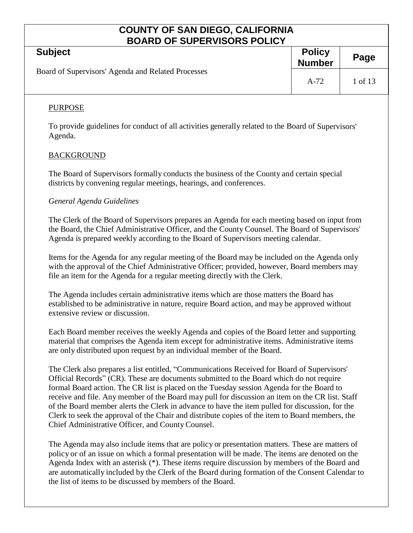| <b>BOARD OF SUPERVISORS POLICY</b>                                                                                                                                                                                                                                                   |                                |         |  |
|--------------------------------------------------------------------------------------------------------------------------------------------------------------------------------------------------------------------------------------------------------------------------------------|--------------------------------|---------|--|
| <b>Subject</b>                                                                                                                                                                                                                                                                       | <b>Policy</b><br><b>Number</b> | Page    |  |
| Board of Supervisors' Agenda and Related Processes                                                                                                                                                                                                                                   | $A-72$                         | 1 of 13 |  |
| <b>PURPOSE</b>                                                                                                                                                                                                                                                                       |                                |         |  |
| To provide guidelines for conduct of all activities generally related to the Board of Supervisors'<br>Agenda.                                                                                                                                                                        |                                |         |  |
| <b>BACKGROUND</b>                                                                                                                                                                                                                                                                    |                                |         |  |
| The Board of Supervisors formally conducts the business of the County and certain special<br>districts by convening regular meetings, hearings, and conferences.                                                                                                                     |                                |         |  |
| General Agenda Guidelines                                                                                                                                                                                                                                                            |                                |         |  |
| The Clerk of the Board of Supervisors prepares an Agenda for each meeting based on input from<br>the Board, the Chief Administrative Officer, and the County Counsel. The Board of Supervisors'<br>Agenda is prepared weekly according to the Board of Supervisors meeting calendar. |                                |         |  |
| Items for the Agenda for any regular meeting of the Doord may be included on the Agenda only                                                                                                                                                                                         |                                |         |  |

Items for the Agenda for any regular meeting of the Board may be included on the Agenda only with the approval of the Chief Administrative Officer; provided, however, Board members may file an item for the Agenda for a regular meeting directly with the Clerk.

The Agenda includes certain administrative items which are those matters the Board has established to be administrative in nature, require Board action, and may be approved without extensive review or discussion.

Each Board member receives the weekly Agenda and copies of the Board letter and supporting material that comprises the Agenda item except for administrative items. Administrative items are only distributed upon request by an individual member of the Board.

The Clerk also prepares a list entitled, "Communications Received for Board of Supervisors' Official Records" (CR). These are documents submitted to the Board which do not require formal Board action. The CR list is placed on the Tuesday session Agenda for the Board to receive and file. Any member of the Board may pull for discussion an item on the CR list. Staff of the Board member alerts the Clerk in advance to have the item pulled for discussion, for the Clerk to seek the approval of the Chair and distribute copies of the item to Board members, the Chief Administrative Officer, and County Counsel.

The Agenda may also include items that are policy or presentation matters. These are matters of policy or of an issue on which a formal presentation will be made. The items are denoted on the Agenda Index with an asterisk (\*). These items require discussion by members of the Board and are automatically included by the Clerk of the Board during formation of the Consent Calendar to the list of items to be discussed by members of the Board.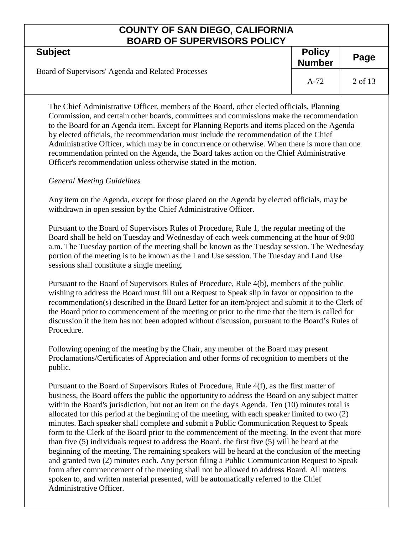| PV/W\P VI VVI EI\YIVVI\VI VEIVI                    |                                |         |
|----------------------------------------------------|--------------------------------|---------|
| <b>Subject</b>                                     | <b>Policy</b><br><b>Number</b> | Page    |
| Board of Supervisors' Agenda and Related Processes | $A-72$                         | 2 of 13 |

The Chief Administrative Officer, members of the Board, other elected officials, Planning Commission, and certain other boards, committees and commissions make the recommendation to the Board for an Agenda item. Except for Planning Reports and items placed on the Agenda by elected officials, the recommendation must include the recommendation of the Chief Administrative Officer, which may be in concurrence or otherwise. When there is more than one recommendation printed on the Agenda, the Board takes action on the Chief Administrative Officer's recommendation unless otherwise stated in the motion.

### *General Meeting Guidelines*

Any item on the Agenda, except for those placed on the Agenda by elected officials, may be withdrawn in open session by the Chief Administrative Officer.

Pursuant to the Board of Supervisors Rules of Procedure, Rule 1, the regular meeting of the Board shall be held on Tuesday and Wednesday of each week commencing at the hour of 9:00 a.m. The Tuesday portion of the meeting shall be known as the Tuesday session. The Wednesday portion of the meeting is to be known as the Land Use session. The Tuesday and Land Use sessions shall constitute a single meeting.

Pursuant to the Board of Supervisors Rules of Procedure, Rule 4(b), members of the public wishing to address the Board must fill out a Request to Speak slip in favor or opposition to the recommendation(s) described in the Board Letter for an item/project and submit it to the Clerk of the Board prior to commencement of the meeting or prior to the time that the item is called for discussion if the item has not been adopted without discussion, pursuant to the Board's Rules of Procedure.

Following opening of the meeting by the Chair, any member of the Board may present Proclamations/Certificates of Appreciation and other forms of recognition to members of the public.

Pursuant to the Board of Supervisors Rules of Procedure, Rule 4(f), as the first matter of business, the Board offers the public the opportunity to address the Board on any subject matter within the Board's jurisdiction, but not an item on the day's Agenda. Ten (10) minutes total is allocated for this period at the beginning of the meeting, with each speaker limited to two (2) minutes. Each speaker shall complete and submit a Public Communication Request to Speak form to the Clerk of the Board prior to the commencement of the meeting. In the event that more than five (5) individuals request to address the Board, the first five (5) will be heard at the beginning of the meeting. The remaining speakers will be heard at the conclusion of the meeting and granted two (2) minutes each. Any person filing a Public Communication Request to Speak form after commencement of the meeting shall not be allowed to address Board. All matters spoken to, and written material presented, will be automatically referred to the Chief Administrative Officer.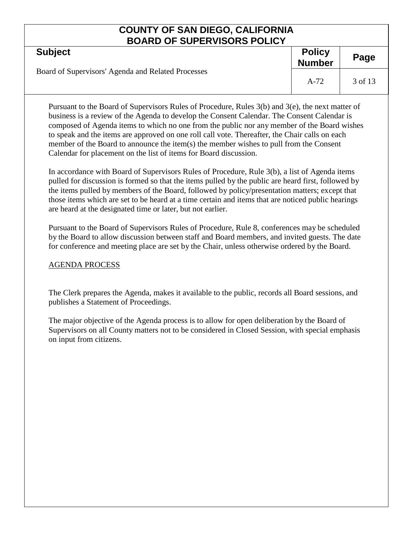| <b>Subject</b>                                     | <b>Policy</b><br><b>Number</b> | Page    |
|----------------------------------------------------|--------------------------------|---------|
| Board of Supervisors' Agenda and Related Processes | $A-72$                         | 3 of 13 |

Pursuant to the Board of Supervisors Rules of Procedure, Rules 3(b) and 3(e), the next matter of business is a review of the Agenda to develop the Consent Calendar. The Consent Calendar is composed of Agenda items to which no one from the public nor any member of the Board wishes to speak and the items are approved on one roll call vote. Thereafter, the Chair calls on each member of the Board to announce the item(s) the member wishes to pull from the Consent Calendar for placement on the list of items for Board discussion.

In accordance with Board of Supervisors Rules of Procedure, Rule 3(b), a list of Agenda items pulled for discussion is formed so that the items pulled by the public are heard first, followed by the items pulled by members of the Board, followed by policy/presentation matters; except that those items which are set to be heard at a time certain and items that are noticed public hearings are heard at the designated time or later, but not earlier.

Pursuant to the Board of Supervisors Rules of Procedure, Rule 8, conferences may be scheduled by the Board to allow discussion between staff and Board members, and invited guests. The date for conference and meeting place are set by the Chair, unless otherwise ordered by the Board.

### AGENDA PROCESS

The Clerk prepares the Agenda, makes it available to the public, records all Board sessions, and publishes a Statement of Proceedings.

The major objective of the Agenda process is to allow for open deliberation by the Board of Supervisors on all County matters not to be considered in Closed Session, with special emphasis on input from citizens.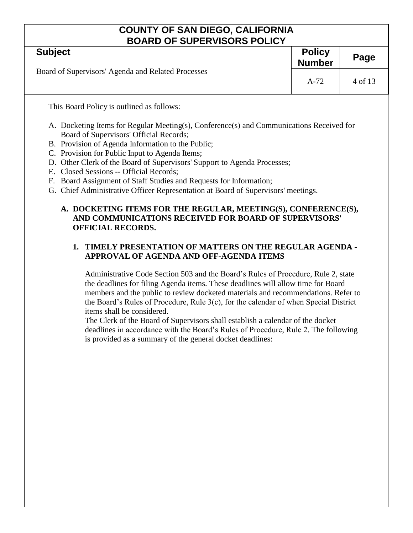| BUARD OF SUPERVISORS POLICY                                                                                                                                                                                                                                                                                                                                                                                                                                                                                                  |        |         |  |
|------------------------------------------------------------------------------------------------------------------------------------------------------------------------------------------------------------------------------------------------------------------------------------------------------------------------------------------------------------------------------------------------------------------------------------------------------------------------------------------------------------------------------|--------|---------|--|
| <b>Subject</b>                                                                                                                                                                                                                                                                                                                                                                                                                                                                                                               |        | Page    |  |
| Board of Supervisors' Agenda and Related Processes                                                                                                                                                                                                                                                                                                                                                                                                                                                                           | $A-72$ | 4 of 13 |  |
| This Board Policy is outlined as follows:                                                                                                                                                                                                                                                                                                                                                                                                                                                                                    |        |         |  |
| A. Docketing Items for Regular Meeting(s), Conference(s) and Communications Received for<br>Board of Supervisors' Official Records;<br>B. Provision of Agenda Information to the Public;<br>C. Provision for Public Input to Agenda Items;<br>D. Other Clerk of the Board of Supervisors' Support to Agenda Processes;<br>E. Closed Sessions -- Official Records;<br>F. Board Assignment of Staff Studies and Requests for Information;<br>G. Chief Administrative Officer Representation at Board of Supervisors' meetings. |        |         |  |
| A. DOCKETING ITEMS FOR THE REGULAR, MEETING(S), CONFERENCE(S),<br>AND COMMUNICATIONS RECEIVED FOR BOARD OF SUPERVISORS'<br><b>OFFICIAL RECORDS.</b>                                                                                                                                                                                                                                                                                                                                                                          |        |         |  |
| TIMELY PRESENTATION OF MATTERS ON THE REGULAR AGENDA -<br>$\mathbf{1}$ .<br>APPROVAL OF AGENDA AND OFF-AGENDA ITEMS                                                                                                                                                                                                                                                                                                                                                                                                          |        |         |  |

Administrative Code Section 503 and the Board's Rules of Procedure, Rule 2, state the deadlines for filing Agenda items. These deadlines will allow time for Board members and the public to review docketed materials and recommendations. Refer to the Board's Rules of Procedure, Rule 3(c), for the calendar of when Special District items shall be considered.

The Clerk of the Board of Supervisors shall establish a calendar of the docket deadlines in accordance with the Board's Rules of Procedure, Rule 2. The following is provided as a summary of the general docket deadlines: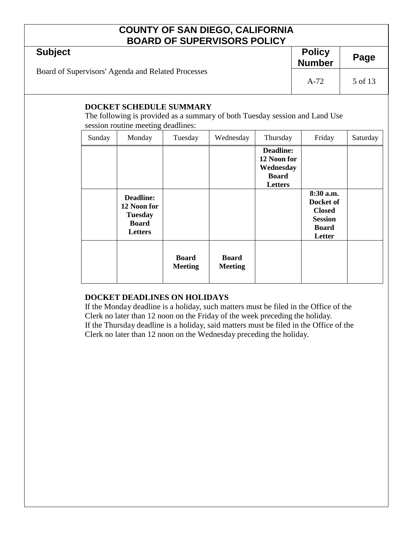| <b>Subject</b>                                     | <b>Policy</b><br><b>Number</b> | Page    |
|----------------------------------------------------|--------------------------------|---------|
| Board of Supervisors' Agenda and Related Processes | $A-72$                         | 5 of 13 |

### **DOCKET SCHEDULE SUMMARY**

The following is provided as a summary of both Tuesday session and Land Use session routine meeting deadlines:

| Sunday | Monday                                                                       | Tuesday                        | Wednesday                      | Thursday                                                                | Friday                                                                              | Saturday |
|--------|------------------------------------------------------------------------------|--------------------------------|--------------------------------|-------------------------------------------------------------------------|-------------------------------------------------------------------------------------|----------|
|        |                                                                              |                                |                                | <b>Deadline:</b><br>12 Noon for<br>Wednesday<br><b>Board</b><br>Letters |                                                                                     |          |
|        | <b>Deadline:</b><br>12 Noon for<br><b>Tuesday</b><br><b>Board</b><br>Letters |                                |                                |                                                                         | 8:30 a.m.<br>Docket of<br><b>Closed</b><br><b>Session</b><br><b>Board</b><br>Letter |          |
|        |                                                                              | <b>Board</b><br><b>Meeting</b> | <b>Board</b><br><b>Meeting</b> |                                                                         |                                                                                     |          |

### **DOCKET DEADLINES ON HOLIDAYS**

If the Monday deadline is a holiday, such matters must be filed in the Office of the Clerk no later than 12 noon on the Friday of the week preceding the holiday. If the Thursday deadline is a holiday, said matters must be filed in the Office of the Clerk no later than 12 noon on the Wednesday preceding the holiday.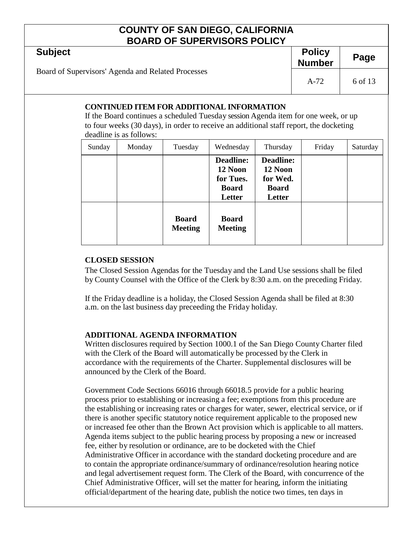| <b>DUAIND UI UUI LINTIUUINI ULIUI</b>              |                                |         |
|----------------------------------------------------|--------------------------------|---------|
| <b>Subject</b>                                     | <b>Policy</b><br><b>Number</b> | Page    |
| Board of Supervisors' Agenda and Related Processes | $A-72$                         | 6 of 13 |

### **CONTINUED ITEM FOR ADDITIONAL INFORMATION**

If the Board continues a scheduled Tuesday session Agenda item for one week, or up to four weeks (30 days), in order to receive an additional staff report, the docketing deadline is as follows:

| Sunday | Monday | Tuesday                        | Wednesday                                                          | Thursday                                                          | Friday | Saturday |
|--------|--------|--------------------------------|--------------------------------------------------------------------|-------------------------------------------------------------------|--------|----------|
|        |        |                                | <b>Deadline:</b><br>12 Noon<br>for Tues.<br><b>Board</b><br>Letter | <b>Deadline:</b><br>12 Noon<br>for Wed.<br><b>Board</b><br>Letter |        |          |
|        |        | <b>Board</b><br><b>Meeting</b> | <b>Board</b><br><b>Meeting</b>                                     |                                                                   |        |          |

### **CLOSED SESSION**

The Closed Session Agendas for the Tuesday and the Land Use sessions shall be filed by County Counsel with the Office of the Clerk by 8:30 a.m. on the preceding Friday.

If the Friday deadline is a holiday, the Closed Session Agenda shall be filed at 8:30 a.m. on the last business day preceeding the Friday holiday.

### **ADDITIONAL AGENDA INFORMATION**

Written disclosures required by Section 1000.1 of the San Diego County Charter filed with the Clerk of the Board will automatically be processed by the Clerk in accordance with the requirements of the Charter. Supplemental disclosures will be announced by the Clerk of the Board.

Government Code Sections 66016 through 66018.5 provide for a public hearing process prior to establishing or increasing a fee; exemptions from this procedure are the establishing or increasing rates or charges for water, sewer, electrical service, or if there is another specific statutory notice requirement applicable to the proposed new or increased fee other than the Brown Act provision which is applicable to all matters. Agenda items subject to the public hearing process by proposing a new or increased fee, either by resolution or ordinance, are to be docketed with the Chief Administrative Officer in accordance with the standard docketing procedure and are to contain the appropriate ordinance/summary of ordinance/resolution hearing notice and legal advertisement request form. The Clerk of the Board, with concurrence of the Chief Administrative Officer, will set the matter for hearing, inform the initiating official/department of the hearing date, publish the notice two times, ten days in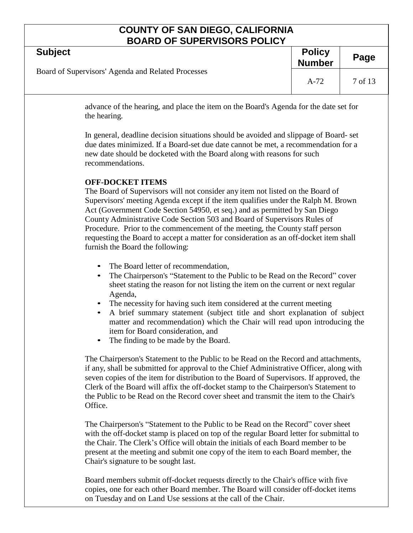| <b>DUAND UI JUI LIVIJUNJ I ULIU I</b>              |                                |         |
|----------------------------------------------------|--------------------------------|---------|
| <b>Subject</b>                                     | <b>Policy</b><br><b>Number</b> | Page    |
| Board of Supervisors' Agenda and Related Processes | $A-72$                         | 7 of 13 |
|                                                    |                                |         |

advance of the hearing, and place the item on the Board's Agenda for the date set for the hearing.

In general, deadline decision situations should be avoided and slippage of Board- set due dates minimized. If a Board-set due date cannot be met, a recommendation for a new date should be docketed with the Board along with reasons for such recommendations.

### **OFF-DOCKET ITEMS**

The Board of Supervisors will not consider any item not listed on the Board of Supervisors' meeting Agenda except if the item qualifies under the Ralph M. Brown Act (Government Code Section 54950, et seq.) and as permitted by San Diego County Administrative Code Section 503 and Board of Supervisors Rules of Procedure. Prior to the commencement of the meeting, the County staff person requesting the Board to accept a matter for consideration as an off-docket item shall furnish the Board the following:

- The Board letter of recommendation,
- The Chairperson's "Statement to the Public to be Read on the Record" cover sheet stating the reason for not listing the item on the current or next regular Agenda,
- The necessity for having such item considered at the current meeting
- A brief summary statement (subject title and short explanation of subject matter and recommendation) which the Chair will read upon introducing the item for Board consideration, and
- The finding to be made by the Board.

The Chairperson's Statement to the Public to be Read on the Record and attachments, if any, shall be submitted for approval to the Chief Administrative Officer, along with seven copies of the item for distribution to the Board of Supervisors. If approved, the Clerk of the Board will affix the off-docket stamp to the Chairperson's Statement to the Public to be Read on the Record cover sheet and transmit the item to the Chair's Office.

The Chairperson's "Statement to the Public to be Read on the Record" cover sheet with the off-docket stamp is placed on top of the regular Board letter for submittal to the Chair. The Clerk's Office will obtain the initials of each Board member to be present at the meeting and submit one copy of the item to each Board member, the Chair's signature to be sought last.

Board members submit off-docket requests directly to the Chair's office with five copies, one for each other Board member. The Board will consider off-docket items on Tuesday and on Land Use sessions at the call of the Chair.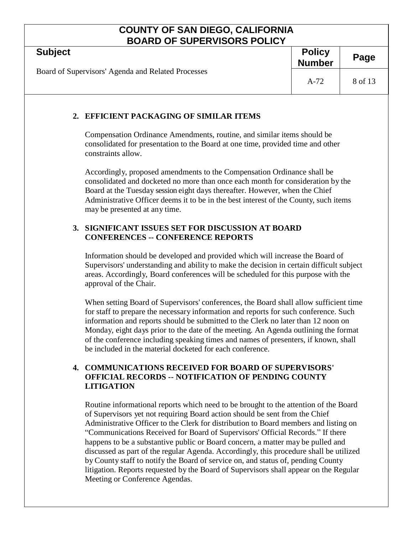| <b>BOARD OF SUPERVISORS POLICY</b>                 |                                                                                                                                                                                                                                                                                                                                                                                                                                                                                                                                                                                                                |                                |         |
|----------------------------------------------------|----------------------------------------------------------------------------------------------------------------------------------------------------------------------------------------------------------------------------------------------------------------------------------------------------------------------------------------------------------------------------------------------------------------------------------------------------------------------------------------------------------------------------------------------------------------------------------------------------------------|--------------------------------|---------|
| <b>Subject</b>                                     |                                                                                                                                                                                                                                                                                                                                                                                                                                                                                                                                                                                                                | <b>Policy</b><br><b>Number</b> | Page    |
| Board of Supervisors' Agenda and Related Processes |                                                                                                                                                                                                                                                                                                                                                                                                                                                                                                                                                                                                                | $A-72$                         | 8 of 13 |
|                                                    | 2. EFFICIENT PACKAGING OF SIMILAR ITEMS                                                                                                                                                                                                                                                                                                                                                                                                                                                                                                                                                                        |                                |         |
|                                                    | Compensation Ordinance Amendments, routine, and similar items should be<br>consolidated for presentation to the Board at one time, provided time and other<br>constraints allow.                                                                                                                                                                                                                                                                                                                                                                                                                               |                                |         |
|                                                    | Accordingly, proposed amendments to the Compensation Ordinance shall be<br>consolidated and docketed no more than once each month for consideration by the<br>Board at the Tuesday session eight days thereafter. However, when the Chief<br>Administrative Officer deems it to be in the best interest of the County, such items<br>may be presented at any time.                                                                                                                                                                                                                                             |                                |         |
|                                                    | 3. SIGNIFICANT ISSUES SET FOR DISCUSSION AT BOARD<br><b>CONFERENCES -- CONFERENCE REPORTS</b>                                                                                                                                                                                                                                                                                                                                                                                                                                                                                                                  |                                |         |
|                                                    | Information should be developed and provided which will increase the Board of<br>Supervisors' understanding and ability to make the decision in certain difficult subject<br>areas. Accordingly, Board conferences will be scheduled for this purpose with the<br>approval of the Chair.                                                                                                                                                                                                                                                                                                                       |                                |         |
|                                                    | When setting Board of Supervisors' conferences, the Board shall allow sufficient time<br>for staff to prepare the necessary information and reports for such conference. Such<br>information and reports should be submitted to the Clerk no later than 12 noon on<br>Monday, eight days prior to the date of the meeting. An Agenda outlining the format<br>of the conference including speaking times and names of presenters, if known, shall<br>be included in the material docketed for each conference.                                                                                                  |                                |         |
|                                                    | <b>4. COMMUNICATIONS RECEIVED FOR BOARD OF SUPERVISORS'</b><br><b>OFFICIAL RECORDS -- NOTIFICATION OF PENDING COUNTY</b><br><b>LITIGATION</b>                                                                                                                                                                                                                                                                                                                                                                                                                                                                  |                                |         |
|                                                    | Routine informational reports which need to be brought to the attention of the Board<br>of Supervisors yet not requiring Board action should be sent from the Chief<br>Administrative Officer to the Clerk for distribution to Board members and listing on<br>"Communications Received for Board of Supervisors' Official Records." If there<br>happens to be a substantive public or Board concern, a matter may be pulled and<br>discussed as part of the regular Agenda. Accordingly, this procedure shall be utilized<br>by County staff to notify the Board of service on, and status of, pending County |                                |         |

litigation. Reports requested by the Board of Supervisors shall appear on the Regular

Meeting or Conference Agendas.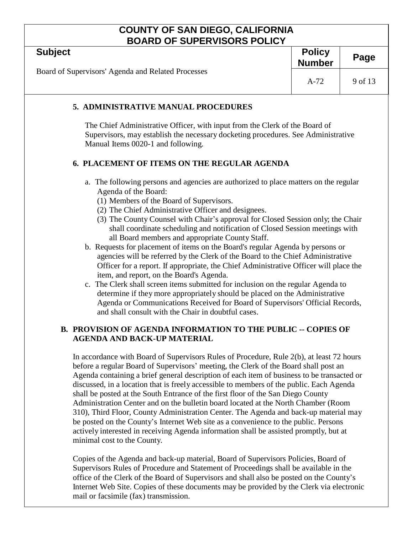| <b>BOARD OF SUPERVISORS POLICY</b>                                                                                                                                                                                                                                                                                                                                                                                                                                                                                                                                                                                                                                                                                                                                                                                                                                                                                                                                                                                                                                                                                                                                       |                                |         |  |
|--------------------------------------------------------------------------------------------------------------------------------------------------------------------------------------------------------------------------------------------------------------------------------------------------------------------------------------------------------------------------------------------------------------------------------------------------------------------------------------------------------------------------------------------------------------------------------------------------------------------------------------------------------------------------------------------------------------------------------------------------------------------------------------------------------------------------------------------------------------------------------------------------------------------------------------------------------------------------------------------------------------------------------------------------------------------------------------------------------------------------------------------------------------------------|--------------------------------|---------|--|
| <b>Subject</b>                                                                                                                                                                                                                                                                                                                                                                                                                                                                                                                                                                                                                                                                                                                                                                                                                                                                                                                                                                                                                                                                                                                                                           | <b>Policy</b><br><b>Number</b> | Page    |  |
| Board of Supervisors' Agenda and Related Processes                                                                                                                                                                                                                                                                                                                                                                                                                                                                                                                                                                                                                                                                                                                                                                                                                                                                                                                                                                                                                                                                                                                       | $A-72$                         | 9 of 13 |  |
| 5. ADMINISTRATIVE MANUAL PROCEDURES                                                                                                                                                                                                                                                                                                                                                                                                                                                                                                                                                                                                                                                                                                                                                                                                                                                                                                                                                                                                                                                                                                                                      |                                |         |  |
| The Chief Administrative Officer, with input from the Clerk of the Board of<br>Supervisors, may establish the necessary docketing procedures. See Administrative<br>Manual Items 0020-1 and following.                                                                                                                                                                                                                                                                                                                                                                                                                                                                                                                                                                                                                                                                                                                                                                                                                                                                                                                                                                   |                                |         |  |
| 6. PLACEMENT OF ITEMS ON THE REGULAR AGENDA                                                                                                                                                                                                                                                                                                                                                                                                                                                                                                                                                                                                                                                                                                                                                                                                                                                                                                                                                                                                                                                                                                                              |                                |         |  |
| a. The following persons and agencies are authorized to place matters on the regular<br>Agenda of the Board:<br>(1) Members of the Board of Supervisors.<br>(2) The Chief Administrative Officer and designees.<br>(3) The County Counsel with Chair's approval for Closed Session only; the Chair<br>shall coordinate scheduling and notification of Closed Session meetings with<br>all Board members and appropriate County Staff.<br>b. Requests for placement of items on the Board's regular Agenda by persons or<br>agencies will be referred by the Clerk of the Board to the Chief Administrative<br>Officer for a report. If appropriate, the Chief Administrative Officer will place the<br>item, and report, on the Board's Agenda.<br>c. The Clerk shall screen items submitted for inclusion on the regular Agenda to<br>determine if they more appropriately should be placed on the Administrative<br>Agenda or Communications Received for Board of Supervisors' Official Records,<br>and shall consult with the Chair in doubtful cases.<br><b>B. PROVISION OF AGENDA INFORMATION TO THE PUBLIC -- COPIES OF</b><br><b>AGENDA AND BACK-UP MATERIAL</b> |                                |         |  |
| In accordance with Board of Supervisors Rules of Procedure, Rule 2(b), at least 72 hours                                                                                                                                                                                                                                                                                                                                                                                                                                                                                                                                                                                                                                                                                                                                                                                                                                                                                                                                                                                                                                                                                 |                                |         |  |

before a regular Board of Supervisors' meeting, the Clerk of the Board shall post an Agenda containing a brief general description of each item of business to be transacted or discussed, in a location that is freely accessible to members of the public. Each Agenda shall be posted at the South Entrance of the first floor of the San Diego County Administration Center and on the bulletin board located at the North Chamber (Room 310), Third Floor, County Administration Center. The Agenda and back-up material may be posted on the County's Internet Web site as a convenience to the public. Persons actively interested in receiving Agenda information shall be assisted promptly, but at minimal cost to the County.

Copies of the Agenda and back-up material, Board of Supervisors Policies, Board of Supervisors Rules of Procedure and Statement of Proceedings shall be available in the office of the Clerk of the Board of Supervisors and shall also be posted on the County's Internet Web Site. Copies of these documents may be provided by the Clerk via electronic mail or facsimile (fax) transmission.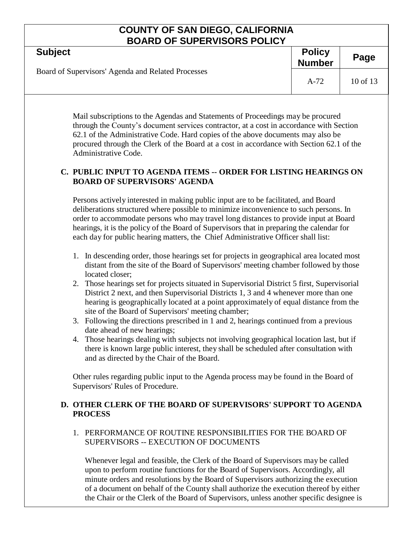| <b>DUAIND UI UUI LINTIUUINI ULIUT</b>              |                                |              |  |
|----------------------------------------------------|--------------------------------|--------------|--|
| <b>Subject</b>                                     | <b>Policy</b><br><b>Number</b> | Page         |  |
| Board of Supervisors' Agenda and Related Processes | $A-72$                         | $10$ of $13$ |  |
|                                                    |                                |              |  |

Mail subscriptions to the Agendas and Statements of Proceedings may be procured through the County's document services contractor, at a cost in accordance with Section 62.1 of the Administrative Code. Hard copies of the above documents may also be procured through the Clerk of the Board at a cost in accordance with Section 62.1 of the Administrative Code.

### **C. PUBLIC INPUT TO AGENDA ITEMS -- ORDER FOR LISTING HEARINGS ON BOARD OF SUPERVISORS' AGENDA**

Persons actively interested in making public input are to be facilitated, and Board deliberations structured where possible to minimize inconvenience to such persons. In order to accommodate persons who may travel long distances to provide input at Board hearings, it is the policy of the Board of Supervisors that in preparing the calendar for each day for public hearing matters, the Chief Administrative Officer shall list:

- 1. In descending order, those hearings set for projects in geographical area located most distant from the site of the Board of Supervisors' meeting chamber followed by those located closer;
- 2. Those hearings set for projects situated in Supervisorial District 5 first, Supervisorial District 2 next, and then Supervisorial Districts 1, 3 and 4 whenever more than one hearing is geographically located at a point approximately of equal distance from the site of the Board of Supervisors' meeting chamber;
- 3. Following the directions prescribed in 1 and 2, hearings continued from a previous date ahead of new hearings;
- 4. Those hearings dealing with subjects not involving geographical location last, but if there is known large public interest, they shall be scheduled after consultation with and as directed by the Chair of the Board.

Other rules regarding public input to the Agenda process may be found in the Board of Supervisors' Rules of Procedure.

### **D. OTHER CLERK OF THE BOARD OF SUPERVISORS' SUPPORT TO AGENDA PROCESS**

1. PERFORMANCE OF ROUTINE RESPONSIBILITIES FOR THE BOARD OF SUPERVISORS -- EXECUTION OF DOCUMENTS

Whenever legal and feasible, the Clerk of the Board of Supervisors may be called upon to perform routine functions for the Board of Supervisors. Accordingly, all minute orders and resolutions by the Board of Supervisors authorizing the execution of a document on behalf of the County shall authorize the execution thereof by either the Chair or the Clerk of the Board of Supervisors, unless another specific designee is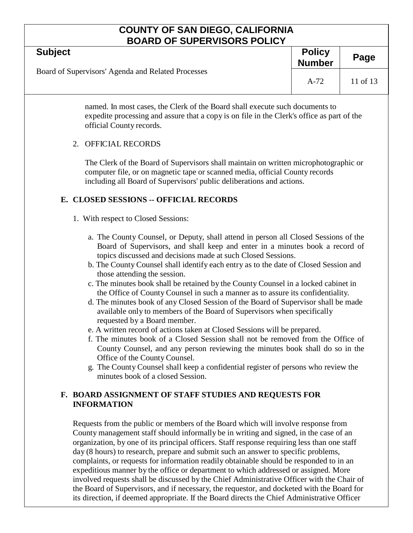| <b>BOARD OF SUPERVISORS POLICY</b>                                                                                                                                                                                                                                                                                                                                                                                                                                                                                                                                                                                                                                                                                                                                                                                                                                                                                                                                                                                                                                                                                                                |                                |          |  |  |
|---------------------------------------------------------------------------------------------------------------------------------------------------------------------------------------------------------------------------------------------------------------------------------------------------------------------------------------------------------------------------------------------------------------------------------------------------------------------------------------------------------------------------------------------------------------------------------------------------------------------------------------------------------------------------------------------------------------------------------------------------------------------------------------------------------------------------------------------------------------------------------------------------------------------------------------------------------------------------------------------------------------------------------------------------------------------------------------------------------------------------------------------------|--------------------------------|----------|--|--|
| <b>Subject</b>                                                                                                                                                                                                                                                                                                                                                                                                                                                                                                                                                                                                                                                                                                                                                                                                                                                                                                                                                                                                                                                                                                                                    | <b>Policy</b><br><b>Number</b> | Page     |  |  |
| Board of Supervisors' Agenda and Related Processes                                                                                                                                                                                                                                                                                                                                                                                                                                                                                                                                                                                                                                                                                                                                                                                                                                                                                                                                                                                                                                                                                                | $A-72$                         | 11 of 13 |  |  |
| named. In most cases, the Clerk of the Board shall execute such documents to<br>expedite processing and assure that a copy is on file in the Clerk's office as part of the<br>official County records.                                                                                                                                                                                                                                                                                                                                                                                                                                                                                                                                                                                                                                                                                                                                                                                                                                                                                                                                            |                                |          |  |  |
| <b>OFFICIAL RECORDS</b><br>2.                                                                                                                                                                                                                                                                                                                                                                                                                                                                                                                                                                                                                                                                                                                                                                                                                                                                                                                                                                                                                                                                                                                     |                                |          |  |  |
| The Clerk of the Board of Supervisors shall maintain on written microphotographic or<br>computer file, or on magnetic tape or scanned media, official County records<br>including all Board of Supervisors' public deliberations and actions.                                                                                                                                                                                                                                                                                                                                                                                                                                                                                                                                                                                                                                                                                                                                                                                                                                                                                                     |                                |          |  |  |
| E. CLOSED SESSIONS -- OFFICIAL RECORDS                                                                                                                                                                                                                                                                                                                                                                                                                                                                                                                                                                                                                                                                                                                                                                                                                                                                                                                                                                                                                                                                                                            |                                |          |  |  |
| 1. With respect to Closed Sessions:                                                                                                                                                                                                                                                                                                                                                                                                                                                                                                                                                                                                                                                                                                                                                                                                                                                                                                                                                                                                                                                                                                               |                                |          |  |  |
| a. The County Counsel, or Deputy, shall attend in person all Closed Sessions of the<br>Board of Supervisors, and shall keep and enter in a minutes book a record of<br>topics discussed and decisions made at such Closed Sessions.<br>b. The County Counsel shall identify each entry as to the date of Closed Session and<br>those attending the session.<br>c. The minutes book shall be retained by the County Counsel in a locked cabinet in<br>the Office of County Counsel in such a manner as to assure its confidentiality.<br>d. The minutes book of any Closed Session of the Board of Supervisor shall be made<br>available only to members of the Board of Supervisors when specifically<br>requested by a Board member.<br>e. A written record of actions taken at Closed Sessions will be prepared.<br>f. The minutes book of a Closed Session shall not be removed from the Office of<br>County Counsel, and any person reviewing the minutes book shall do so in the<br>Office of the County Counsel.<br>g. The County Counsel shall keep a confidential register of persons who review the<br>minutes book of a closed Session. |                                |          |  |  |
| F. BOARD ASSIGNMENT OF STAFF STUDIES AND REQUESTS FOR<br><b>INFORMATION</b>                                                                                                                                                                                                                                                                                                                                                                                                                                                                                                                                                                                                                                                                                                                                                                                                                                                                                                                                                                                                                                                                       |                                |          |  |  |
| Requests from the public or members of the Board which will involve response from<br>County management staff should informally be in writing and signed, in the case of an<br>organization, by one of its principal officers. Staff response requiring less than one staff                                                                                                                                                                                                                                                                                                                                                                                                                                                                                                                                                                                                                                                                                                                                                                                                                                                                        |                                |          |  |  |

day (8 hours) to research, prepare and submit such an answer to specific problems, complaints, or requests for information readily obtainable should be responded to in an expeditious manner by the office or department to which addressed or assigned. More involved requests shall be discussed by the Chief Administrative Officer with the Chair of the Board of Supervisors, and if necessary, the requestor, and docketed with the Board for its direction, if deemed appropriate. If the Board directs the Chief Administrative Officer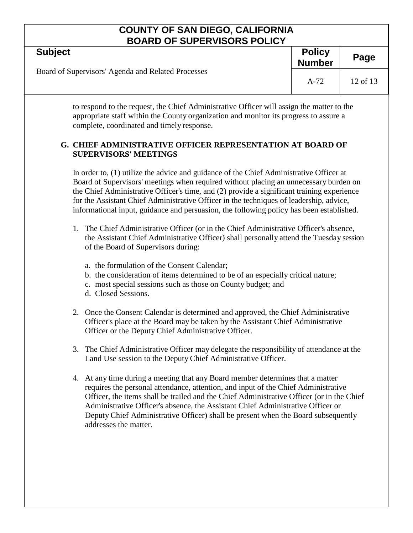| <b>Subject</b>                                     | <b>Policy</b><br><b>Number</b> | Page     |
|----------------------------------------------------|--------------------------------|----------|
| Board of Supervisors' Agenda and Related Processes | $A-72$                         | 12 of 13 |

to respond to the request, the Chief Administrative Officer will assign the matter to the appropriate staff within the County organization and monitor its progress to assure a complete, coordinated and timely response.

### **G. CHIEF ADMINISTRATIVE OFFICER REPRESENTATION AT BOARD OF SUPERVISORS' MEETINGS**

In order to, (1) utilize the advice and guidance of the Chief Administrative Officer at Board of Supervisors' meetings when required without placing an unnecessary burden on the Chief Administrative Officer's time, and (2) provide a significant training experience for the Assistant Chief Administrative Officer in the techniques of leadership, advice, informational input, guidance and persuasion, the following policy has been established.

- 1. The Chief Administrative Officer (or in the Chief Administrative Officer's absence, the Assistant Chief Administrative Officer) shall personally attend the Tuesday session of the Board of Supervisors during:
	- a. the formulation of the Consent Calendar;
	- b. the consideration of items determined to be of an especially critical nature;
	- c. most special sessions such as those on County budget; and
	- d. Closed Sessions.
- 2. Once the Consent Calendar is determined and approved, the Chief Administrative Officer's place at the Board may be taken by the Assistant Chief Administrative Officer or the Deputy Chief Administrative Officer.
- 3. The Chief Administrative Officer may delegate the responsibility of attendance at the Land Use session to the Deputy Chief Administrative Officer.
- 4. At any time during a meeting that any Board member determines that a matter requires the personal attendance, attention, and input of the Chief Administrative Officer, the items shall be trailed and the Chief Administrative Officer (or in the Chief Administrative Officer's absence, the Assistant Chief Administrative Officer or Deputy Chief Administrative Officer) shall be present when the Board subsequently addresses the matter.